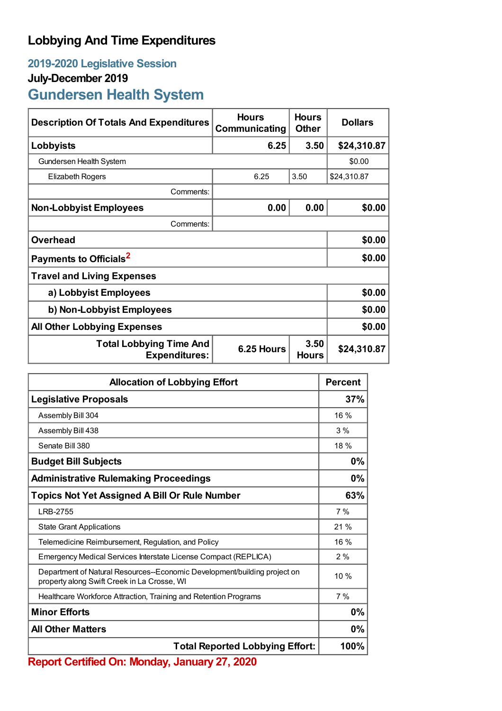## **Lobbying And Time Expenditures**

## **2019-2020 Legislative Session July-December 2019**

## **Gundersen Health System**

| <b>Description Of Totals And Expenditures</b>          | <b>Hours</b><br>Communicating | <b>Hours</b><br><b>Other</b> | <b>Dollars</b> |
|--------------------------------------------------------|-------------------------------|------------------------------|----------------|
| Lobbyists                                              | 6.25                          | 3.50                         | \$24,310.87    |
| Gundersen Health System                                |                               |                              | \$0.00         |
| <b>Elizabeth Rogers</b>                                | 6.25                          | 3.50                         | \$24,310.87    |
| Comments:                                              |                               |                              |                |
| <b>Non-Lobbyist Employees</b>                          | 0.00                          | 0.00                         | \$0.00         |
| Comments:                                              |                               |                              |                |
| <b>Overhead</b>                                        |                               |                              | \$0.00         |
| Payments to Officials <sup>2</sup>                     |                               |                              | \$0.00         |
| <b>Travel and Living Expenses</b>                      |                               |                              |                |
| a) Lobbyist Employees                                  |                               |                              | \$0.00         |
| b) Non-Lobbyist Employees                              |                               |                              | \$0.00         |
| <b>All Other Lobbying Expenses</b>                     |                               |                              | \$0.00         |
| <b>Total Lobbying Time And</b><br><b>Expenditures:</b> | 6.25 Hours                    | 3.50<br><b>Hours</b>         | \$24,310.87    |

| <b>Allocation of Lobbying Effort</b>                                                                                     |        |
|--------------------------------------------------------------------------------------------------------------------------|--------|
| <b>Legislative Proposals</b>                                                                                             | 37%    |
| Assembly Bill 304                                                                                                        | $16\%$ |
| Assembly Bill 438                                                                                                        | 3%     |
| Senate Bill 380                                                                                                          | 18%    |
| <b>Budget Bill Subjects</b>                                                                                              | 0%     |
| <b>Administrative Rulemaking Proceedings</b>                                                                             | 0%     |
| <b>Topics Not Yet Assigned A Bill Or Rule Number</b>                                                                     | 63%    |
| LRB-2755                                                                                                                 | 7%     |
| <b>State Grant Applications</b>                                                                                          | 21%    |
| Telemedicine Reimbursement, Regulation, and Policy                                                                       | $16\%$ |
| Emergency Medical Services Interstate License Compact (REPLICA)                                                          | 2%     |
| Department of Natural Resources--Economic Development/building project on<br>property along Swift Creek in La Crosse, WI | 10%    |
| Healthcare Workforce Attraction, Training and Retention Programs                                                         | 7%     |
| <b>Minor Efforts</b>                                                                                                     | 0%     |
| <b>All Other Matters</b>                                                                                                 |        |
| <b>Total Reported Lobbying Effort:</b>                                                                                   |        |

**Report Certified On: Monday, January 27, 2020**